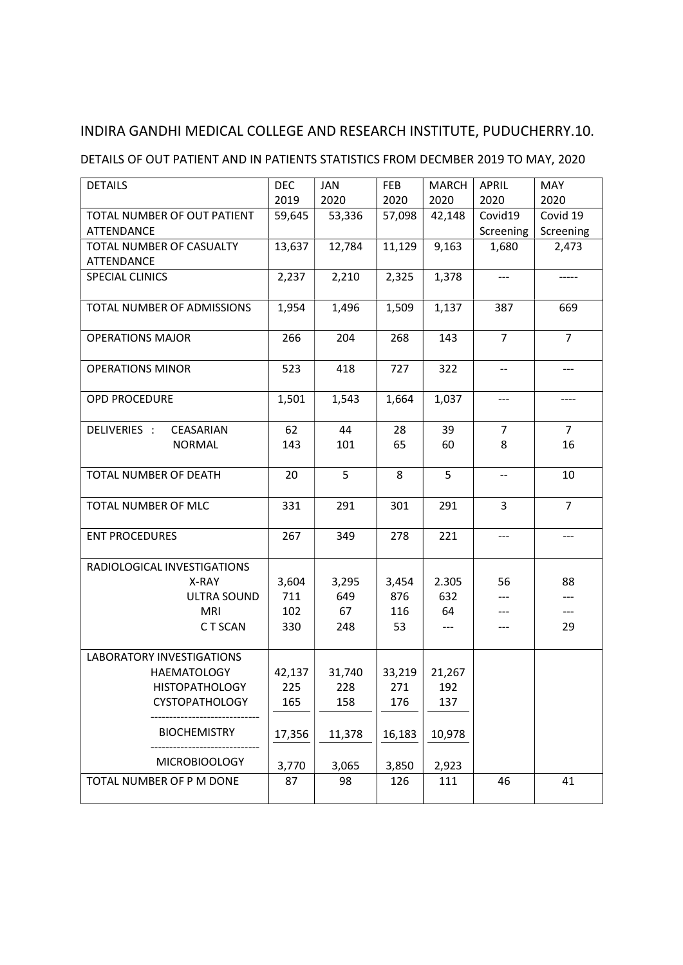### DETAILS OF OUT PATIENT AND IN PATIENTS STATISTICS FROM DECMBER 2019 TO MAY, 2020

| <b>DETAILS</b>                   | <b>DEC</b> | JAN    | FEB    | <b>MARCH</b> | <b>APRIL</b>             | <b>MAY</b>     |
|----------------------------------|------------|--------|--------|--------------|--------------------------|----------------|
|                                  | 2019       | 2020   | 2020   | 2020         | 2020                     | 2020           |
| TOTAL NUMBER OF OUT PATIENT      | 59,645     | 53,336 | 57,098 | 42,148       | Covid19                  | Covid 19       |
| ATTENDANCE                       |            |        |        |              | Screening                | Screening      |
| TOTAL NUMBER OF CASUALTY         | 13,637     | 12,784 | 11,129 | 9,163        | 1,680                    | 2,473          |
| ATTENDANCE                       |            |        |        |              |                          |                |
| <b>SPECIAL CLINICS</b>           | 2,237      | 2,210  | 2,325  | 1,378        | ---                      |                |
| TOTAL NUMBER OF ADMISSIONS       | 1,954      | 1,496  | 1,509  | 1,137        | 387                      | 669            |
| <b>OPERATIONS MAJOR</b>          | 266        | 204    | 268    | 143          | $\overline{7}$           | $\overline{7}$ |
| <b>OPERATIONS MINOR</b>          | 523        | 418    | 727    | 322          | $\overline{\phantom{a}}$ | ---            |
| <b>OPD PROCEDURE</b>             | 1,501      | 1,543  | 1,664  | 1,037        | ---                      | ----           |
| DELIVERIES :<br>CEASARIAN        | 62         | 44     | 28     | 39           | 7                        | $\overline{7}$ |
| <b>NORMAL</b>                    | 143        | 101    | 65     | 60           | 8                        | 16             |
| TOTAL NUMBER OF DEATH            | 20         | 5      | 8      | 5            | $-$                      | 10             |
| TOTAL NUMBER OF MLC              | 331        | 291    | 301    | 291          | 3                        | 7              |
| <b>ENT PROCEDURES</b>            | 267        | 349    | 278    | 221          | ---                      | $---$          |
| RADIOLOGICAL INVESTIGATIONS      |            |        |        |              |                          |                |
| X-RAY                            | 3,604      | 3,295  | 3,454  | 2.305        | 56                       | 88             |
| ULTRA SOUND                      | 711        | 649    | 876    | 632          |                          | ---            |
| MRI                              | 102        | 67     | 116    | 64           |                          | ---            |
| C T SCAN                         | 330        | 248    | 53     |              | ---                      | 29             |
| <b>LABORATORY INVESTIGATIONS</b> |            |        |        |              |                          |                |
| <b>HAEMATOLOGY</b>               | 42,137     | 31,740 | 33,219 | 21,267       |                          |                |
| <b>HISTOPATHOLOGY</b>            | 225        | 228    | 271    | 192          |                          |                |
| <b>CYSTOPATHOLOGY</b>            | 165        | 158    | 176    | 137          |                          |                |
| <b>BIOCHEMISTRY</b>              | 17,356     | 11,378 | 16,183 | 10,978       |                          |                |
| <b>MICROBIOOLOGY</b>             | 3,770      | 3,065  | 3,850  | 2,923        |                          |                |
| TOTAL NUMBER OF P M DONE         | 87         | 98     | 126    | 111          | 46                       | 41             |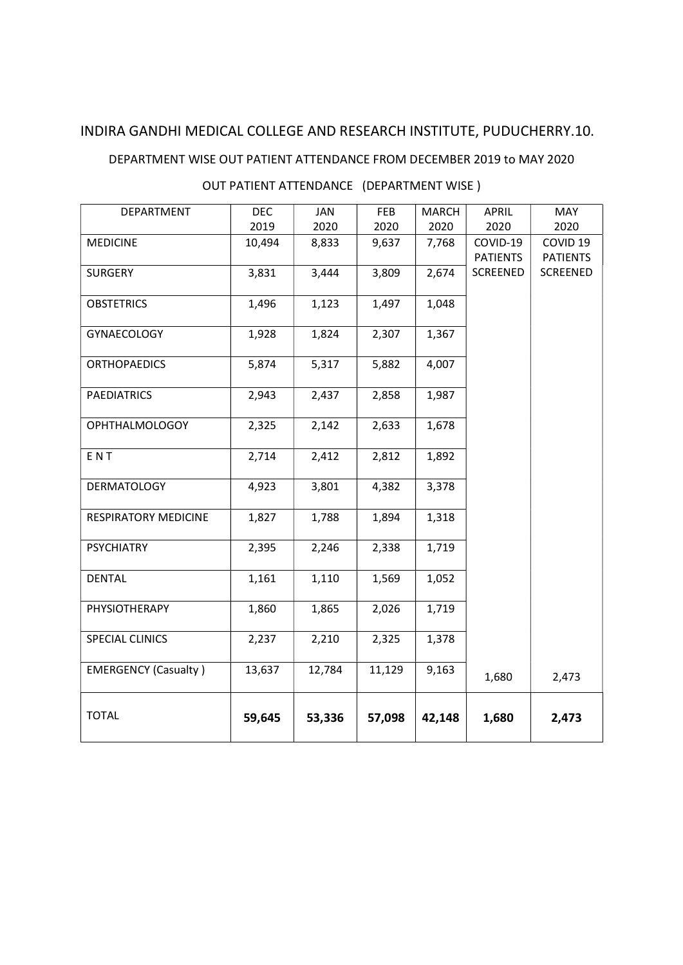#### DEPARTMENT WISE OUT PATIENT ATTENDANCE FROM DECEMBER 2019 to MAY 2020

## OUT PATIENT ATTENDANCE (DEPARTMENT WISE )

| DEPARTMENT                  | <b>DEC</b> | <b>JAN</b> | <b>FEB</b> | <b>MARCH</b> | <b>APRIL</b>                | <b>MAY</b>                             |
|-----------------------------|------------|------------|------------|--------------|-----------------------------|----------------------------------------|
|                             | 2019       | 2020       | 2020       | 2020         | 2020                        | 2020                                   |
| <b>MEDICINE</b>             | 10,494     | 8,833      | 9,637      | 7,768        | COVID-19<br><b>PATIENTS</b> | COVID <sub>19</sub><br><b>PATIENTS</b> |
| <b>SURGERY</b>              | 3,831      | 3,444      | 3,809      | 2,674        | SCREENED                    | SCREENED                               |
| <b>OBSTETRICS</b>           | 1,496      | 1,123      | 1,497      | 1,048        |                             |                                        |
| <b>GYNAECOLOGY</b>          | 1,928      | 1,824      | 2,307      | 1,367        |                             |                                        |
| <b>ORTHOPAEDICS</b>         | 5,874      | 5,317      | 5,882      | 4,007        |                             |                                        |
| <b>PAEDIATRICS</b>          | 2,943      | 2,437      | 2,858      | 1,987        |                             |                                        |
| <b>OPHTHALMOLOGOY</b>       | 2,325      | 2,142      | 2,633      | 1,678        |                             |                                        |
| ENT                         | 2,714      | 2,412      | 2,812      | 1,892        |                             |                                        |
| <b>DERMATOLOGY</b>          | 4,923      | 3,801      | 4,382      | 3,378        |                             |                                        |
| <b>RESPIRATORY MEDICINE</b> | 1,827      | 1,788      | 1,894      | 1,318        |                             |                                        |
| <b>PSYCHIATRY</b>           | 2,395      | 2,246      | 2,338      | 1,719        |                             |                                        |
| <b>DENTAL</b>               | 1,161      | 1,110      | 1,569      | 1,052        |                             |                                        |
| PHYSIOTHERAPY               | 1,860      | 1,865      | 2,026      | 1,719        |                             |                                        |
| SPECIAL CLINICS             | 2,237      | 2,210      | 2,325      | 1,378        |                             |                                        |
| <b>EMERGENCY (Casualty)</b> | 13,637     | 12,784     | 11,129     | 9,163        | 1,680                       | 2,473                                  |
| <b>TOTAL</b>                | 59,645     | 53,336     | 57,098     | 42,148       | 1,680                       | 2,473                                  |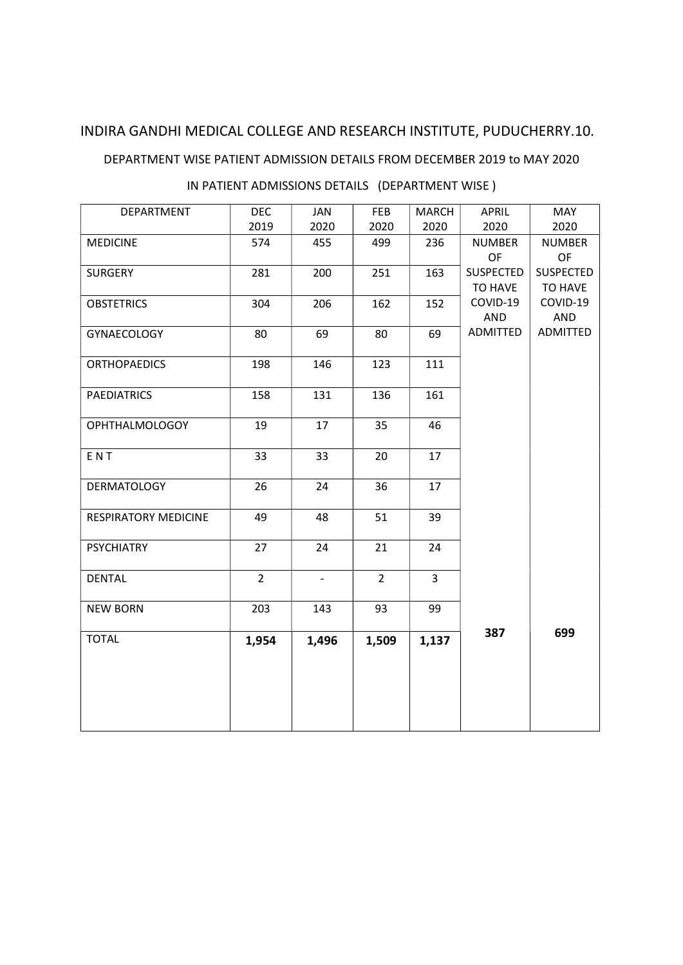#### DEPARTMENT WISE PATIENT ADMISSION DETAILS FROM DECEMBER 2019 to MAY 2020

| DEPARTMENT            | <b>DEC</b>     | JAN   | FEB            | <b>MARCH</b>   | <b>APRIL</b>                | <b>MAY</b>             |
|-----------------------|----------------|-------|----------------|----------------|-----------------------------|------------------------|
|                       | 2019           | 2020  | 2020           | 2020           | 2020                        | 2020                   |
| <b>MEDICINE</b>       | 574            | 455   | 499            | 236            | <b>NUMBER</b>               | <b>NUMBER</b>          |
|                       |                |       |                |                | OF                          | OF<br><b>SUSPECTED</b> |
| <b>SURGERY</b>        | 281            | 200   | 251            | 163            | <b>SUSPECTED</b><br>TO HAVE | TO HAVE                |
| <b>OBSTETRICS</b>     | 304            | 206   | 162            | 152            | COVID-19                    | COVID-19               |
|                       |                |       |                |                | AND                         | AND                    |
| GYNAECOLOGY           | 80             | 69    | 80             | 69             | ADMITTED                    | ADMITTED               |
|                       |                |       |                |                |                             |                        |
| <b>ORTHOPAEDICS</b>   | 198            | 146   | 123            | 111            |                             |                        |
| <b>PAEDIATRICS</b>    | 158            | 131   | 136            | 161            |                             |                        |
|                       |                |       |                |                |                             |                        |
| <b>OPHTHALMOLOGOY</b> | 19             | 17    | 35             | 46             |                             |                        |
|                       |                |       |                |                |                             |                        |
| ENT                   | 33             | 33    | 20             | 17             |                             |                        |
| <b>DERMATOLOGY</b>    | 26             | 24    | 36             | 17             |                             |                        |
|                       |                |       |                |                |                             |                        |
| RESPIRATORY MEDICINE  | 49             | 48    | 51             | 39             |                             |                        |
|                       |                |       |                |                |                             |                        |
| <b>PSYCHIATRY</b>     | 27             | 24    | 21             | 24             |                             |                        |
| <b>DENTAL</b>         | $\overline{2}$ |       | $\overline{2}$ | $\overline{3}$ |                             |                        |
|                       |                |       |                |                |                             |                        |
| <b>NEW BORN</b>       | 203            | 143   | 93             | 99             |                             |                        |
|                       |                |       |                |                | 387                         | 699                    |
| <b>TOTAL</b>          | 1,954          | 1,496 | 1,509          | 1,137          |                             |                        |
|                       |                |       |                |                |                             |                        |
|                       |                |       |                |                |                             |                        |
|                       |                |       |                |                |                             |                        |
|                       |                |       |                |                |                             |                        |
|                       |                |       |                |                |                             |                        |

### IN PATIENT ADMISSIONS DETAILS (DEPARTMENT WISE )